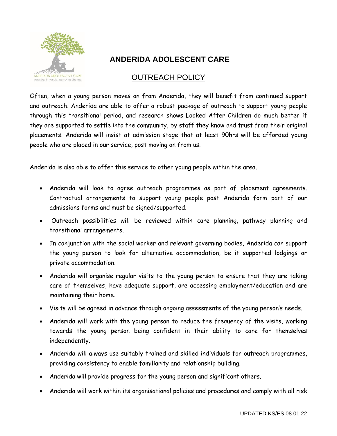

## **ANDERIDA ADOLESCENT CARE**

## OUTREACH POLICY

Often, when a young person moves on from Anderida, they will benefit from continued support and outreach. Anderida are able to offer a robust package of outreach to support young people through this transitional period, and research shows Looked After Children do much better if they are supported to settle into the community, by staff they know and trust from their original placements. Anderida will insist at admission stage that at least 90hrs will be afforded young people who are placed in our service, post moving on from us.

Anderida is also able to offer this service to other young people within the area.

- Anderida will look to agree outreach programmes as part of placement agreements. Contractual arrangements to support young people post Anderida form part of our admissions forms and must be signed/supported.
- Outreach possibilities will be reviewed within care planning, pathway planning and transitional arrangements.
- In conjunction with the social worker and relevant governing bodies, Anderida can support the young person to look for alternative accommodation, be it supported lodgings or private accommodation.
- Anderida will organise regular visits to the young person to ensure that they are taking care of themselves, have adequate support, are accessing employment/education and are maintaining their home.
- Visits will be agreed in advance through ongoing assessments of the young person's needs.
- Anderida will work with the young person to reduce the frequency of the visits, working towards the young person being confident in their ability to care for themselves independently.
- Anderida will always use suitably trained and skilled individuals for outreach programmes, providing consistency to enable familiarity and relationship building.
- Anderida will provide progress for the young person and significant others.
- Anderida will work within its organisational policies and procedures and comply with all risk